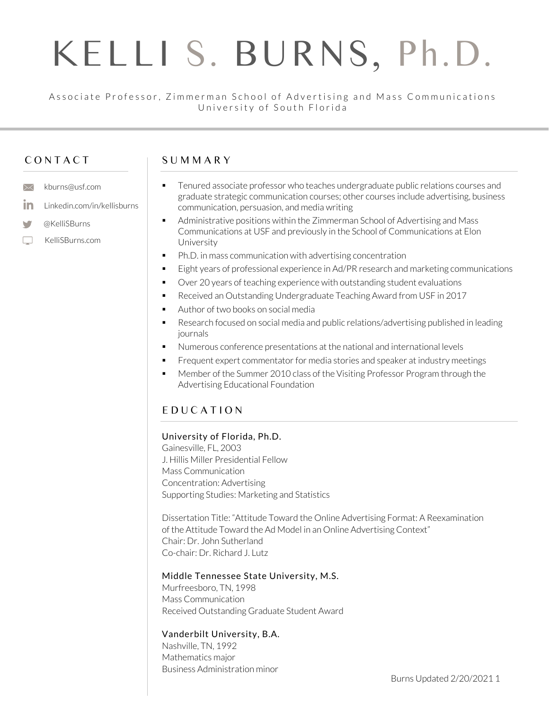#### Associate Professor, Zimmerman School of Advertising and Mass Communications University of South Florida

# C O N T A C T

 $\times$  kburns@usf.com

@KelliSBurns

v  $\Box$ 

KelliSBurns.com

**in** Linkedin.com/in/kellisburns

#### S U M M A R Y

- Tenured associate professor who teaches undergraduate public relations courses and graduate strategic communication courses; other courses include advertising, business communication, persuasion, and media writing
	- Administrative positions within the Zimmerman School of Advertising and Mass Communications at USF and previously in the School of Communications at Elon University
	- Ph.D. in mass communication with advertising concentration
	- Eight years of professional experience in Ad/PR research and marketing communications
	- Over 20 years of teaching experience with outstanding student evaluations
	- Received an Outstanding Undergraduate Teaching Award from USF in 2017
	- Author of two books on social media
	- Research focused on social media and public relations/advertising published in leading journals
	- Numerous conference presentations at the national and international levels
	- **•** Frequent expert commentator for media stories and speaker at industry meetings
	- Member of the Summer 2010 class of the Visiting Professor Program through the Advertising Educational Foundation

# E D U C A T I O N

#### University of Florida, Ph.D.

Gainesville, FL, 2003 J. Hillis Miller Presidential Fellow Mass Communication Concentration: Advertising Supporting Studies: Marketing and Statistics

Dissertation Title: "Attitude Toward the Online Advertising Format: A Reexamination of the Attitude Toward the Ad Model in an Online Advertising Context" Chair: Dr. John Sutherland Co-chair: Dr. Richard J. Lutz

#### Middle Tennessee State University, M.S.

Murfreesboro, TN, 1998 Mass Communication Received Outstanding Graduate Student Award

#### Vanderbilt University, B.A.

Nashville, TN, 1992 Mathematics major Business Administration minor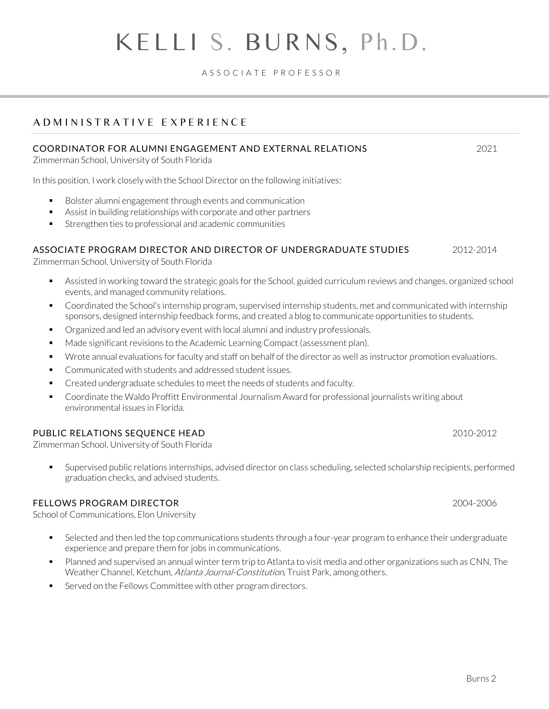A S S O C I A T E P R O F E S S O R

# A D M I N I S T R A T I V E E X P E R I E N C E

#### COORDINATOR FOR ALUMNI ENGAGEMENT AND EXTERNAL RELATIONS 2021

Zimmerman School, University of South Florida

In this position, I work closely with the School Director on the following initiatives:

- Bolster alumni engagement through events and communication
- Assist in building relationships with corporate and other partners
- Strengthen ties to professional and academic communities

#### ASSOCIATE PROGRAM DIRECTOR AND DIRECTOR OF UNDERGRADUATE STUDIES 2012-2014

Zimmerman School, University of South Florida

- Assisted in working toward the strategic goals for the School, guided curriculum reviews and changes, organized school events, and managed community relations.
- Coordinated the School's internship program, supervised internship students, met and communicated with internship sponsors, designed internship feedback forms, and created a blog to communicate opportunities to students.
- Organized and led an advisory event with local alumni and industry professionals.
- Made significant revisions to the Academic Learning Compact (assessment plan).
- Wrote annual evaluations for faculty and staff on behalf of the director as well as instructor promotion evaluations.
- Communicated with students and addressed student issues.
- Created undergraduate schedules to meet the needs of students and faculty.
- Coordinate the Waldo Proffitt Environmental Journalism Award for professional journalists writing about environmental issues in Florida.

#### PUBLIC RELATIONS SEQUENCE HEAD 2010-2012

Zimmerman School, University of South Florida

Supervised public relations internships, advised director on class scheduling, selected scholarship recipients, performed graduation checks, and advised students.

#### FELLOWS PROGRAM DIRECTOR 2004-2006

School of Communications, Elon University

- **EXECTED 4** Selected and then led the top communications students through a four-year program to enhance their undergraduate experience and prepare them for jobs in communications.
- Planned and supervised an annual winter term trip to Atlanta to visit media and other organizations such as CNN, The Weather Channel, Ketchum, Atlanta Journal-Constitution, Truist Park, among others.
- Served on the Fellows Committee with other program directors.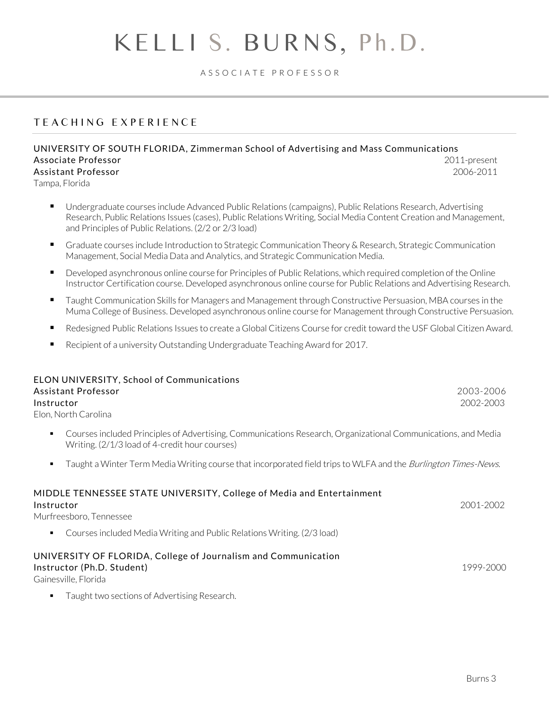#### A S S O C I A T E P R O F E S S O R

### T E A C H I N G E X P E R I E N C E

#### UNIVERSITY OF SOUTH FLORIDA, Zimmerman School of Advertising and Mass Communications Associate Professor 2011-present Assistant Professor 2006-2011

Tampa, Florida

- Undergraduate courses include Advanced Public Relations (campaigns), Public Relations Research, Advertising Research, Public Relations Issues (cases), Public Relations Writing, Social Media Content Creation and Management, and Principles of Public Relations. (2/2 or 2/3 load)
- Graduate courses include Introduction to Strategic Communication Theory & Research, Strategic Communication Management, Social Media Data and Analytics, and Strategic Communication Media.
- Developed asynchronous online course for Principles of Public Relations, which required completion of the Online Instructor Certification course. Developed asynchronous online course for Public Relations and Advertising Research.
- Taught Communication Skills for Managers and Management through Constructive Persuasion, MBA courses in the Muma College of Business. Developed asynchronous online course for Management through Constructive Persuasion.
- Redesigned Public Relations Issues to create a Global Citizens Course for credit toward the USF Global Citizen Award.
- Recipient of a university Outstanding Undergraduate Teaching Award for 2017.

| <b>ELON UNIVERSITY, School of Communications</b><br>Assistant Professor<br>Instructor<br>Elon, North Carolina                                                   | 2003-2006<br>2002-2003 |
|-----------------------------------------------------------------------------------------------------------------------------------------------------------------|------------------------|
| Courses included Principles of Advertising, Communications Research, Organizational Communications, and Media<br>Writing. (2/1/3 load of 4-credit hour courses) |                        |
| Taught a Winter Term Media Writing course that incorporated field trips to WLFA and the <i>Burlington Times-News</i> .                                          |                        |
| MIDDLE TENNESSEE STATE UNIVERSITY, College of Media and Entertainment<br>Instructor<br>Murfreesboro, Tennessee                                                  | 2001-2002              |
| Courses included Media Writing and Public Relations Writing. (2/3 load)                                                                                         |                        |
| UNIVERSITY OF FLORIDA, College of Journalism and Communication<br>Instructor (Ph.D. Student)<br>Gainesville, Florida                                            | 1999-2000              |
| Taught two sections of Advertising Research.                                                                                                                    |                        |

Burns 3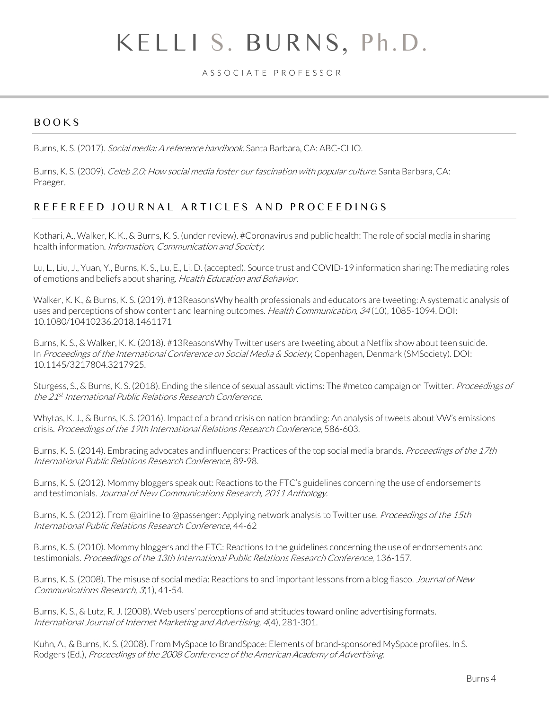A S S O C I A T E P R O F E S S O R

### BOOKS

Burns, K. S. (2017). Social media: A reference handbook. Santa Barbara, CA: ABC-CLIO.

Burns, K. S. (2009). Celeb 2.0: How social media foster our fascination with popular culture. Santa Barbara, CA: Praeger.

### REFEREED JOURNAL ARTICLES AND PROCEEDINGS

Kothari, A., Walker, K. K., & Burns, K. S. (under review). #Coronavirus and public health: The role of social media in sharing health information. Information, Communication and Society.

Lu, L., Liu, J., Yuan, Y., Burns, K. S., Lu, E., Li, D. (accepted). Source trust and COVID-19 information sharing: The mediating roles of emotions and beliefs about sharing. Health Education and Behavior.

Walker, K. K., & Burns, K. S. (2019). #13ReasonsWhy health professionals and educators are tweeting: A systematic analysis of uses and perceptions of show content and learning outcomes. Health Communication, 34(10), 1085-1094. DOI: [10.1080/10410236.2018.1461171](https://doi.org/10.1080/10410236.2018.1461171)

Burns, K. S., & Walker, K. K. (2018). #13ReasonsWhy Twitter users are tweeting about a Netflix show about teen suicide. In Proceedings of the International Conference on Social Media & Society, Copenhagen, Denmark (SMSociety). DOI: 10.1145/3217804.3217925.

Sturgess, S., & Burns, K. S. (2018). Ending the silence of sexual assault victims: The #metoo campaign on Twitter. *Proceedings of* the 21<sup>st</sup> International Public Relations Research Conference.

Whytas, K. J., & Burns, K. S. (2016). Impact of a brand crisis on nation branding: An analysis of tweets about VW's emissions crisis. Proceedings of the 19th International Relations Research Conference, 586-603.

Burns, K. S. (2014). Embracing advocates and influencers: Practices of the top social media brands. *Proceedings of the 17th* International Public Relations Research Conference, 89-98.

Burns, K. S. (2012). Mommy bloggers speak out: Reactions to the FTC's guidelines concerning the use of endorsements and testimonials. Journal of New Communications Research, 2011 Anthology.

Burns, K. S. (2012). From @airline to @passenger: Applying network analysis to Twitter use. *Proceedings of the 15th* International Public Relations Research Conference, 44-62

Burns, K. S. (2010). Mommy bloggers and the FTC: Reactions to the guidelines concerning the use of endorsements and testimonials. Proceedings of the 13th International Public Relations Research Conference, 136-157.

Burns, K. S. (2008). The misuse of social media: Reactions to and important lessons from a blog fiasco. Journal of New Communications Research, 3(1), 41-54.

Burns, K. S., & Lutz, R. J. (2008). Web users' perceptions of and attitudes toward online advertising formats. International Journal of Internet Marketing and Advertising, 4(4), 281-301.

Kuhn, A., & Burns, K. S. (2008). From MySpace to BrandSpace: Elements of brand-sponsored MySpace profiles. In S. Rodgers (Ed.), Proceedings of the 2008 Conference of the American Academy of Advertising.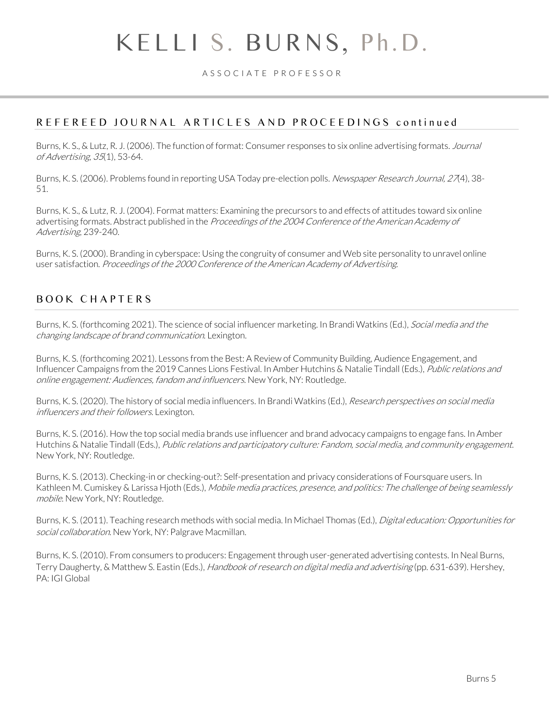#### A S S O C I A T E P R O F E S S O R

#### REFEREED JOURNAL ARTICLES AND PROCEEDINGS continued

Burns, K. S., & Lutz, R. J. (2006). The function of format: Consumer responses to six online advertising formats. *Journal* of Advertising, 35(1), 53-64.

Burns, K. S. (2006). Problems found in reporting USA Today pre-election polls. *Newspaper Research Journal, 27*(4), 38-51.

Burns, K. S., & Lutz, R. J. (2004). Format matters: Examining the precursors to and effects of attitudes toward six online advertising formats. Abstract published in the Proceedings of the 2004 Conference of the American Academy of Advertising, 239-240.

Burns, K. S. (2000). Branding in cyberspace: Using the congruity of consumer and Web site personality to unravel online user satisfaction. Proceedings of the 2000 Conference of the American Academy of Advertising.

### B O O K C H A P T E R S

Burns, K. S. (forthcoming 2021). The science of social influencer marketing. In Brandi Watkins (Ed.), Social media and the changing landscape of brand communication. Lexington.

Burns, K. S. (forthcoming 2021). Lessons from the Best: A Review of Community Building, Audience Engagement, and Influencer Campaigns from the 2019 Cannes Lions Festival. In Amber Hutchins & Natalie Tindall (Eds.), Public relations and online engagement: Audiences, fandom and influencers. New York, NY: Routledge.

Burns, K. S. (2020). The history of social media influencers. In Brandi Watkins (Ed.), Research perspectives on social media influencers and their followers. Lexington.

Burns, K. S. (2016). How the top social media brands use influencer and brand advocacy campaigns to engage fans. In Amber Hutchins & Natalie Tindall (Eds.), Public relations and participatory culture: Fandom, social media, and community engagement. New York, NY: Routledge.

Burns, K. S. (2013). Checking-in or checking-out?: Self-presentation and privacy considerations of Foursquare users. In Kathleen M. Cumiskey & Larissa Hjoth (Eds.), Mobile media practices, presence, and politics: The challenge of being seamlessly mobile. New York, NY: Routledge.

Burns, K. S. (2011). Teaching research methods with social media. In Michael Thomas (Ed.), Digital education: Opportunities for social collaboration. New York, NY: Palgrave Macmillan.

Burns, K. S. (2010). From consumers to producers: Engagement through user-generated advertising contests. In Neal Burns, Terry Daugherty, & Matthew S. Eastin (Eds.), *Handbook of research on digital media and advertising* (pp. 631-639). Hershey, PA: IGI Global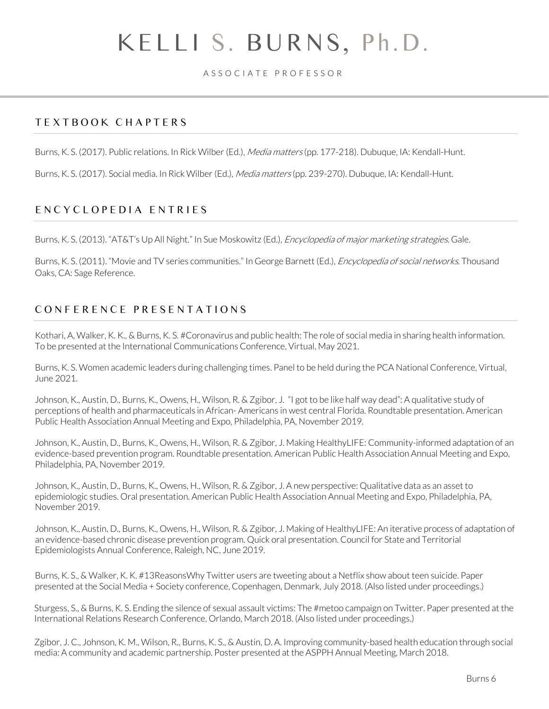A S S O C I A T E P R O F E S S O R

### T E X T B O O K C H A P T E R S

Burns, K. S. (2017). Public relations. In Rick Wilber (Ed.), Media matters (pp. 177-218). Dubuque, IA: Kendall-Hunt.

Burns, K. S. (2017). Social media. In Rick Wilber (Ed.), *Media matters* (pp. 239-270). Dubuque, IA: Kendall-Hunt.

### E N C Y C L O P E D I A E N T R I E S

Burns, K. S. (2013). "AT&T's Up All Night." In Sue Moskowitz (Ed.), *Encyclopedia of major marketing strategies*. Gale.

Burns, K. S. (2011). "Movie and TV series communities." In George Barnett (Ed.), *Encyclopedia of social networks*. Thousand Oaks, CA: Sage Reference.

# C O N F E R E N C E P R E S E N T A T I O N S

Kothari, A, Walker, K. K., & Burns, K. S. #Coronavirus and public health: The role of social media in sharing health information. To be presented at the International Communications Conference, Virtual, May 2021.

Burns, K. S. Women academic leaders during challenging times. Panel to be held during the PCA National Conference, Virtual, June 2021.

Johnson, K., Austin, D., Burns, K., Owens, H., Wilson, R. & Zgibor, J. "I got to be like half way dead": A qualitative study of perceptions of health and pharmaceuticals in African- Americans in west central Florida. Roundtable presentation. American Public Health Association Annual Meeting and Expo, Philadelphia, PA, November 2019.

Johnson, K., Austin, D., Burns, K., Owens, H., Wilson, R. & Zgibor, J. Making HealthyLIFE: Community-informed adaptation of an evidence-based prevention program. Roundtable presentation. American Public Health Association Annual Meeting and Expo, Philadelphia, PA, November 2019.

Johnson, K., Austin, D., Burns, K., Owens, H., Wilson, R. & Zgibor, J. A new perspective: Qualitative data as an asset to epidemiologic studies. Oral presentation. American Public Health Association Annual Meeting and Expo, Philadelphia, PA, November 2019.

Johnson, K., Austin, D., Burns, K., Owens, H., Wilson, R. & Zgibor, J. Making of HealthyLIFE: An iterative process of adaptation of an evidence-based chronic disease prevention program. Quick oral presentation. Council for State and Territorial Epidemiologists Annual Conference, Raleigh, NC, June 2019.

Burns, K. S., & Walker, K. K. #13ReasonsWhy Twitter users are tweeting about a Netflix show about teen suicide. Paper presented at the Social Media + Society conference, Copenhagen, Denmark, July 2018. (Also listed under proceedings.)

Sturgess, S., & Burns, K. S. Ending the silence of sexual assault victims: The #metoo campaign on Twitter. Paper presented at the International Relations Research Conference, Orlando, March 2018. (Also listed under proceedings.)

Zgibor, J. C., Johnson, K. M., Wilson, R., Burns, K. S., & Austin, D. A. Improving community-based health education through social media: A community and academic partnership. Poster presented at the ASPPH Annual Meeting, March 2018.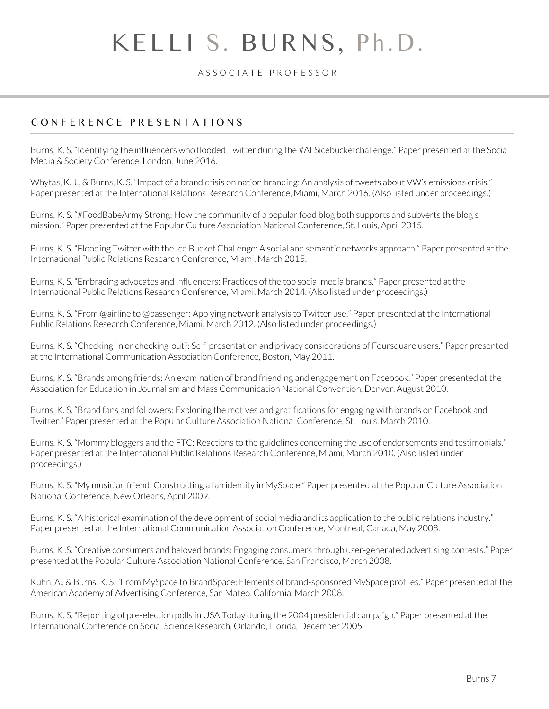A S S O C I A T E P R O F E S S O R

# C O N F E R E N C E P R E S E N T A T I O N S

Burns, K. S. "Identifying the influencers who flooded Twitter during the #ALSicebucketchallenge." Paper presented at the Social Media & Society Conference, London, June 2016.

Whytas, K. J., & Burns, K. S. "Impact of a brand crisis on nation branding: An analysis of tweets about VW's emissions crisis." Paper presented at the International Relations Research Conference, Miami, March 2016. (Also listed under proceedings.)

Burns, K. S. "#FoodBabeArmy Strong: How the community of a popular food blog both supports and subverts the blog's mission." Paper presented at the Popular Culture Association National Conference, St. Louis, April 2015.

Burns, K. S. "Flooding Twitter with the Ice Bucket Challenge: A social and semantic networks approach." Paper presented at the International Public Relations Research Conference, Miami, March 2015.

Burns, K. S. "Embracing advocates and influencers: Practices of the top social media brands." Paper presented at the International Public Relations Research Conference, Miami, March 2014. (Also listed under proceedings.)

Burns, K. S. "From @airline to @passenger: Applying network analysis to Twitter use." Paper presented at the International Public Relations Research Conference, Miami, March 2012. (Also listed under proceedings.)

Burns, K. S. "Checking-in or checking-out?: Self-presentation and privacy considerations of Foursquare users." Paper presented at the International Communication Association Conference, Boston, May 2011.

Burns, K. S. "Brands among friends: An examination of brand friending and engagement on Facebook." Paper presented at the Association for Education in Journalism and Mass Communication National Convention, Denver, August 2010.

Burns, K. S. "Brand fans and followers: Exploring the motives and gratifications for engaging with brands on Facebook and Twitter." Paper presented at the Popular Culture Association National Conference, St. Louis, March 2010.

Burns, K. S. "Mommy bloggers and the FTC: Reactions to the guidelines concerning the use of endorsements and testimonials." Paper presented at the International Public Relations Research Conference, Miami, March 2010. (Also listed under proceedings.)

Burns, K. S. "My musician friend: Constructing a fan identity in MySpace." Paper presented at the Popular Culture Association National Conference, New Orleans, April 2009.

Burns, K. S. "A historical examination of the development of social media and its application to the public relations industry." Paper presented at the International Communication Association Conference, Montreal, Canada, May 2008.

Burns, K .S. "Creative consumers and beloved brands: Engaging consumers through user-generated advertising contests." Paper presented at the Popular Culture Association National Conference, San Francisco, March 2008.

Kuhn, A., & Burns, K. S. "From MySpace to BrandSpace: Elements of brand-sponsored MySpace profiles." Paper presented at the American Academy of Advertising Conference, San Mateo, California, March 2008.

Burns, K. S. "Reporting of pre-election polls in USA Today during the 2004 presidential campaign." Paper presented at the International Conference on Social Science Research, Orlando, Florida, December 2005.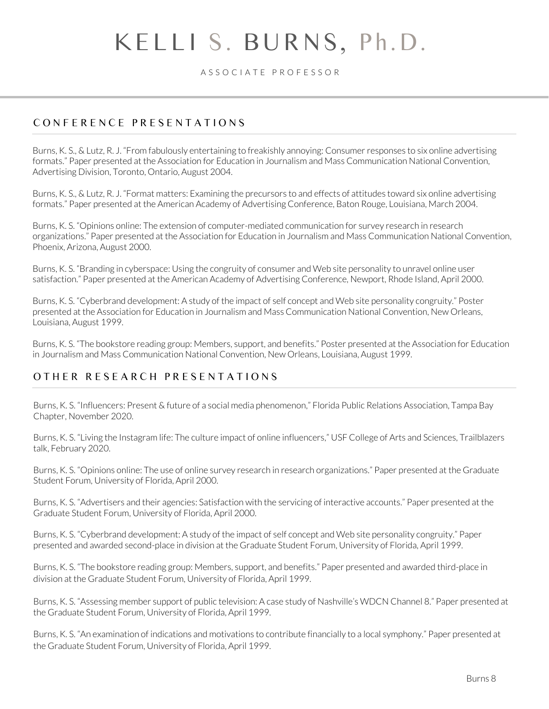A S S O C I A T E P R O F E S S O R

### C O N F E R E N C E P R E S E N T A T I O N S

Burns, K. S., & Lutz, R. J. "From fabulously entertaining to freakishly annoying: Consumer responses to six online advertising formats." Paper presented at the Association for Education in Journalism and Mass Communication National Convention, Advertising Division, Toronto, Ontario, August 2004.

Burns, K. S., & Lutz, R. J. "Format matters: Examining the precursors to and effects of attitudes toward six online advertising formats." Paper presented at the American Academy of Advertising Conference, Baton Rouge, Louisiana, March 2004.

Burns, K. S. "Opinions online: The extension of computer-mediated communication for survey research in research organizations." Paper presented at the Association for Education in Journalism and Mass Communication National Convention, Phoenix, Arizona, August 2000.

Burns, K. S. "Branding in cyberspace: Using the congruity of consumer and Web site personality to unravel online user satisfaction." Paper presented at the American Academy of Advertising Conference, Newport, Rhode Island, April 2000.

Burns, K. S. "Cyberbrand development: A study of the impact of self concept and Web site personality congruity." Poster presented at the Association for Education in Journalism and Mass Communication National Convention, New Orleans, Louisiana, August 1999.

Burns, K. S. "The bookstore reading group: Members, support, and benefits." Poster presented at the Association for Education in Journalism and Mass Communication National Convention, New Orleans, Louisiana, August 1999.

### O T H E R R E S E A R C H P R E S E N T A T I O N S

Burns, K. S. "Influencers: Present & future of a social media phenomenon," Florida Public Relations Association, Tampa Bay Chapter, November 2020.

Burns, K. S. "Living the Instagram life: The culture impact of online influencers," USF College of Arts and Sciences, Trailblazers talk, February 2020.

Burns, K. S. "Opinions online: The use of online survey research in research organizations." Paper presented at the Graduate Student Forum, University of Florida, April 2000.

Burns, K. S. "Advertisers and their agencies: Satisfaction with the servicing of interactive accounts." Paper presented at the Graduate Student Forum, University of Florida, April 2000.

Burns, K. S. "Cyberbrand development: A study of the impact of self concept and Web site personality congruity." Paper presented and awarded second-place in division at the Graduate Student Forum, University of Florida, April 1999.

Burns, K. S. "The bookstore reading group: Members, support, and benefits." Paper presented and awarded third-place in division at the Graduate Student Forum, University of Florida, April 1999.

Burns, K. S. "Assessing member support of public television: A case study of Nashville's WDCN Channel 8." Paper presented at the Graduate Student Forum, University of Florida, April 1999.

Burns, K. S. "An examination of indications and motivations to contribute financially to a local symphony." Paper presented at the Graduate Student Forum, University of Florida, April 1999.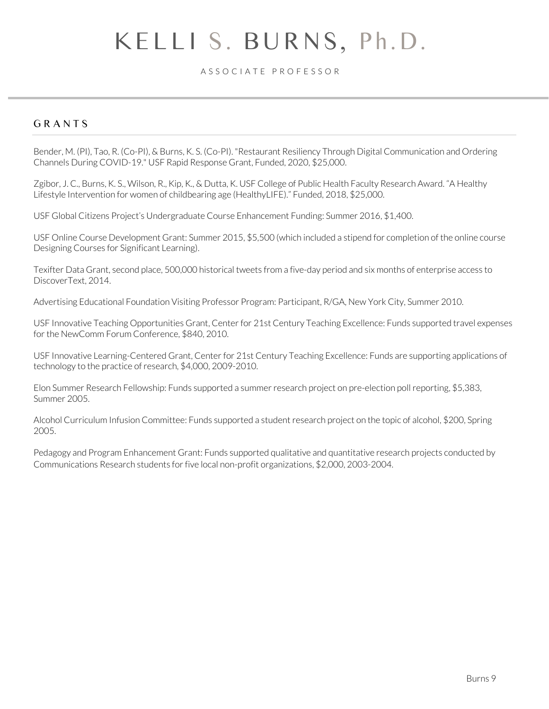#### A S S O C I A T E P R O F E S S O R

#### **GRANTS**

Bender, M. (PI), Tao, R. (Co-PI), & Burns, K. S. (Co-PI). "Restaurant Resiliency Through Digital Communication and Ordering Channels During COVID-19." USF Rapid Response Grant, Funded, 2020, \$25,000.

Zgibor, J. C., Burns, K. S., Wilson, R., Kip, K., & Dutta, K. USF College of Public Health Faculty Research Award. "A Healthy Lifestyle Intervention for women of childbearing age (HealthyLIFE)." Funded, 2018, \$25,000.

USF Global Citizens Project's Undergraduate Course Enhancement Funding: Summer 2016, \$1,400.

USF Online Course Development Grant: Summer 2015, \$5,500 (which included a stipend for completion of the online course Designing Courses for Significant Learning).

Texifter Data Grant, second place, 500,000 historical tweets from a five-day period and six months of enterprise access to DiscoverText, 2014.

Advertising Educational Foundation Visiting Professor Program: Participant, R/GA, New York City, Summer 2010.

USF Innovative Teaching Opportunities Grant, Center for 21st Century Teaching Excellence: Funds supported travel expenses for the NewComm Forum Conference, \$840, 2010.

USF Innovative Learning-Centered Grant, Center for 21st Century Teaching Excellence: Funds are supporting applications of technology to the practice of research, \$4,000, 2009-2010.

Elon Summer Research Fellowship: Funds supported a summer research project on pre-election poll reporting, \$5,383, Summer 2005.

Alcohol Curriculum Infusion Committee: Funds supported a student research project on the topic of alcohol, \$200, Spring 2005.

Pedagogy and Program Enhancement Grant: Funds supported qualitative and quantitative research projects conducted by Communications Research students for five local non-profit organizations, \$2,000, 2003-2004.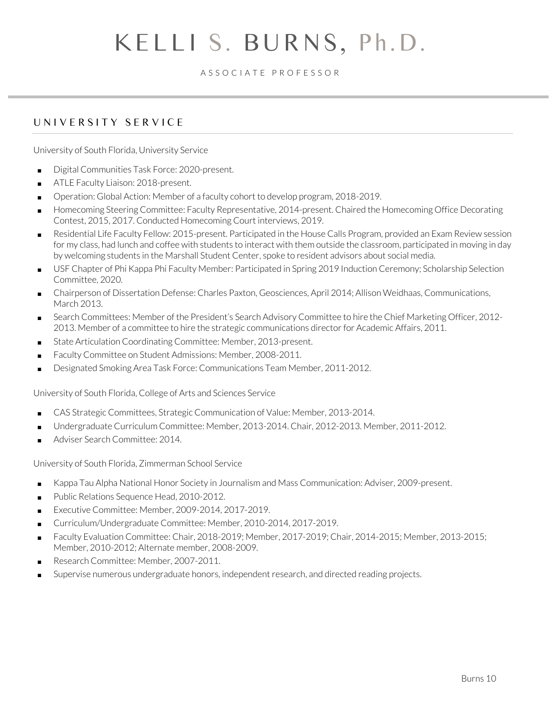#### A S S O C I A T E P R O F E S S O R

### UNIVERSITY SERVICE

University of South Florida, University Service

- Digital Communities Task Force: 2020-present.
- ATLE Faculty Liaison: 2018-present.
- Operation: Global Action: Member of a faculty cohort to develop program, 2018-2019.
- Homecoming Steering Committee: Faculty Representative, 2014-present. Chaired the Homecoming Office Decorating Contest, 2015, 2017. Conducted Homecoming Court interviews, 2019.
- Residential Life Faculty Fellow: 2015-present. Participated in the House Calls Program, provided an Exam Review session for my class, had lunch and coffee with students to interact with them outside the classroom, participated in moving in day by welcoming students in the Marshall Student Center, spoke to resident advisors about social media.
- USF Chapter of Phi Kappa Phi Faculty Member: Participated in Spring 2019 Induction Ceremony; Scholarship Selection Committee, 2020.
- Chairperson of Dissertation Defense: Charles Paxton, Geosciences, April 2014; Allison Weidhaas, Communications, March 2013.
- Search Committees: Member of the President's Search Advisory Committee to hire the Chief Marketing Officer, 2012-2013. Member of a committee to hire the strategic communications director for Academic Affairs, 2011.
- State Articulation Coordinating Committee: Member, 2013-present.
- Faculty Committee on Student Admissions: Member, 2008-2011.
- Designated Smoking Area Task Force: Communications Team Member, 2011-2012.

University of South Florida, College of Arts and Sciences Service

- CAS Strategic Committees, Strategic Communication of Value: Member, 2013-2014.
- Undergraduate Curriculum Committee: Member, 2013-2014. Chair, 2012-2013. Member, 2011-2012.
- Adviser Search Committee: 2014.

University of South Florida, Zimmerman School Service

- Kappa Tau Alpha National Honor Society in Journalism and Mass Communication: Adviser, 2009-present.
- Public Relations Sequence Head, 2010-2012.
- Executive Committee: Member, 2009-2014, 2017-2019.
- Curriculum/Undergraduate Committee: Member, 2010-2014, 2017-2019.
- Faculty Evaluation Committee: Chair, 2018-2019; Member, 2017-2019; Chair, 2014-2015; Member, 2013-2015; Member, 2010-2012; Alternate member, 2008-2009.
- Research Committee: Member, 2007-2011.
- Supervise numerous undergraduate honors, independent research, and directed reading projects.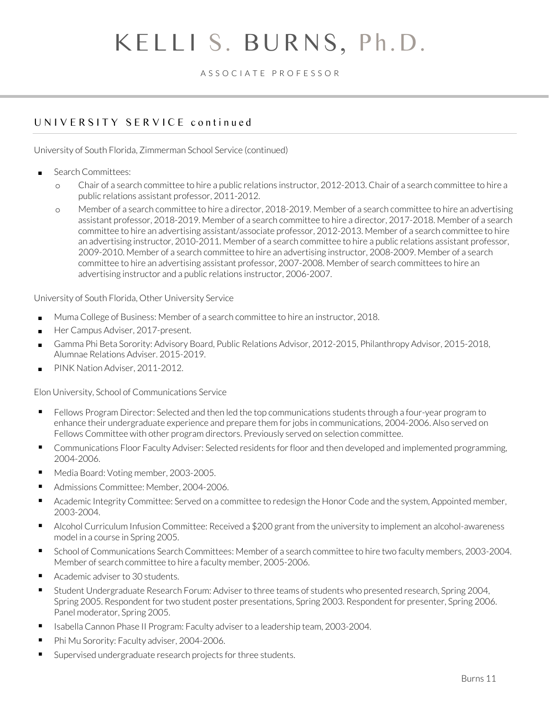#### A S S O C I A T E P R O F E S S O R

### UNIVERSITY SERVICE continued

University of South Florida, Zimmerman School Service (continued)

- Search Committees:
	- o Chair of a search committee to hire a public relations instructor, 2012-2013. Chair of a search committee to hire a public relations assistant professor, 2011-2012.
	- o Member of a search committee to hire a director, 2018-2019. Member of a search committee to hire an advertising assistant professor, 2018-2019. Member of a search committee to hire a director, 2017-2018. Member of a search committee to hire an advertising assistant/associate professor, 2012-2013. Member of a search committee to hire an advertising instructor, 2010-2011. Member of a search committee to hire a public relations assistant professor, 2009-2010. Member of a search committee to hire an advertising instructor, 2008-2009. Member of a search committee to hire an advertising assistant professor, 2007-2008. Member of search committees to hire an advertising instructor and a public relations instructor, 2006-2007.

University of South Florida, Other University Service

- Muma College of Business: Member of a search committee to hire an instructor, 2018.
- Her Campus Adviser, 2017-present.
- Gamma Phi Beta Sorority: Advisory Board, Public Relations Advisor, 2012-2015, Philanthropy Advisor, 2015-2018, Alumnae Relations Adviser. 2015-2019.
- PINK Nation Adviser, 2011-2012.

Elon University, School of Communications Service

- **Fellows Program Director: Selected and then led the top communications students through a four-year program to** enhance their undergraduate experience and prepare them for jobs in communications, 2004-2006. Also served on Fellows Committee with other program directors. Previously served on selection committee.
- Communications Floor Faculty Adviser: Selected residents for floor and then developed and implemented programming, 2004-2006.
- Media Board: Voting member, 2003-2005.
- Admissions Committee: Member, 2004-2006.
- Academic Integrity Committee: Served on a committee to redesign the Honor Code and the system, Appointed member, 2003-2004.
- Alcohol Curriculum Infusion Committee: Received a \$200 grant from the university to implement an alcohol-awareness model in a course in Spring 2005.
- School of Communications Search Committees: Member of a search committee to hire two faculty members, 2003-2004. Member of search committee to hire a faculty member, 2005-2006.
- Academic adviser to 30 students.
- Student Undergraduate Research Forum: Adviser to three teams of students who presented research, Spring 2004, Spring 2005. Respondent for two student poster presentations, Spring 2003. Respondent for presenter, Spring 2006. Panel moderator, Spring 2005.
- Isabella Cannon Phase II Program: Faculty adviser to a leadership team, 2003-2004.
- Phi Mu Sorority: Faculty adviser, 2004-2006.
- Supervised undergraduate research projects for three students.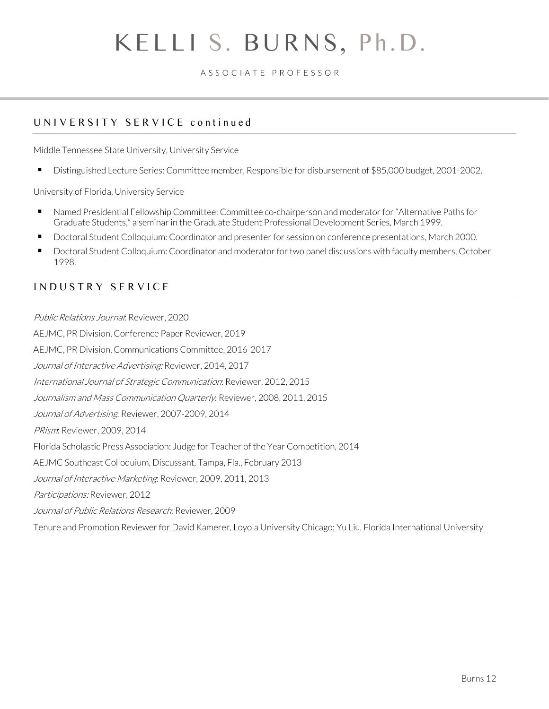A S S O C I A T E P R O F E S S O R

# UNIVERSITY SERVICE continued

Middle Tennessee State University, University Service

■ Distinguished Lecture Series: Committee member, Responsible for disbursement of \$85,000 budget, 2001-2002.

University of Florida, University Service

- Named Presidential Fellowship Committee: Committee co-chairperson and moderator for "Alternative Paths for Graduate Students," a seminar in the Graduate Student Professional Development Series, March 1999.
- Doctoral Student Colloquium: Coordinator and presenter for session on conference presentations, March 2000.
- Doctoral Student Colloquium: Coordinator and moderator for two panel discussions with faculty members, October 1998.

### I N D U S T R Y S E R V I C E

Public Relations Journal: Reviewer, 2020 AEJMC, PR Division, Conference Paper Reviewer, 2019 AEJMC, PR Division, Communications Committee, 2016-2017 Journal of Interactive Advertising: Reviewer, 2014, 2017 International Journal of Strategic Communication: Reviewer, 2012, 2015 Journalism and Mass Communication Quarterly: Reviewer, 2008, 2011, 2015 Journal of Advertising: Reviewer, 2007-2009, 2014 PRism: Reviewer, 2009, 2014 Florida Scholastic Press Association: Judge for Teacher of the Year Competition, 2014 AEJMC Southeast Colloquium, Discussant, Tampa, Fla., February 2013 Journal of Interactive Marketing: Reviewer, 2009, 2011, 2013 Participations: Reviewer, 2012 Journal of Public Relations Research: Reviewer, 2009 Tenure and Promotion Reviewer for David Kamerer, Loyola University Chicago; Yu Liu, Florida International University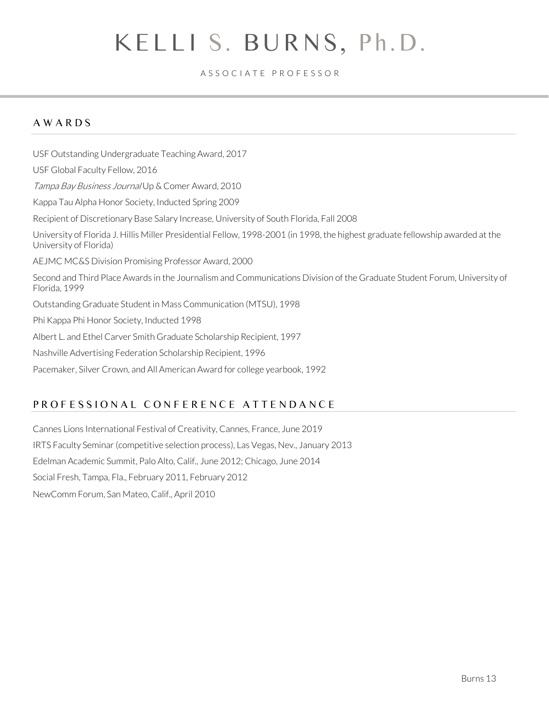#### A S S O C I A T E P R O F E S S O R

# A W A R D S

USF Outstanding Undergraduate Teaching Award, 2017 USF Global Faculty Fellow, 2016 Tampa Bay Business Journal Up & Comer Award, 2010 Kappa Tau Alpha Honor Society, Inducted Spring 2009 Recipient of Discretionary Base Salary Increase, University of South Florida, Fall 2008 University of Florida J. Hillis Miller Presidential Fellow, 1998-2001 (in 1998, the highest graduate fellowship awarded at the University of Florida) AEJMC MC&S Division Promising Professor Award, 2000 Second and Third Place Awards in the Journalism and Communications Division of the Graduate Student Forum, University of Florida, 1999 Outstanding Graduate Student in Mass Communication (MTSU), 1998 Phi Kappa Phi Honor Society, Inducted 1998 Albert L. and Ethel Carver Smith Graduate Scholarship Recipient, 1997 Nashville Advertising Federation Scholarship Recipient, 1996 Pacemaker, Silver Crown, and All American Award for college yearbook, 1992

### PROFESSIONAL CONFERENCE ATTENDANCE

Cannes Lions International Festival of Creativity, Cannes, France, June 2019 IRTS Faculty Seminar (competitive selection process), Las Vegas, Nev., January 2013 Edelman Academic Summit, Palo Alto, Calif., June 2012; Chicago, June 2014 Social Fresh, Tampa, Fla., February 2011, February 2012 NewComm Forum, San Mateo, Calif., April 2010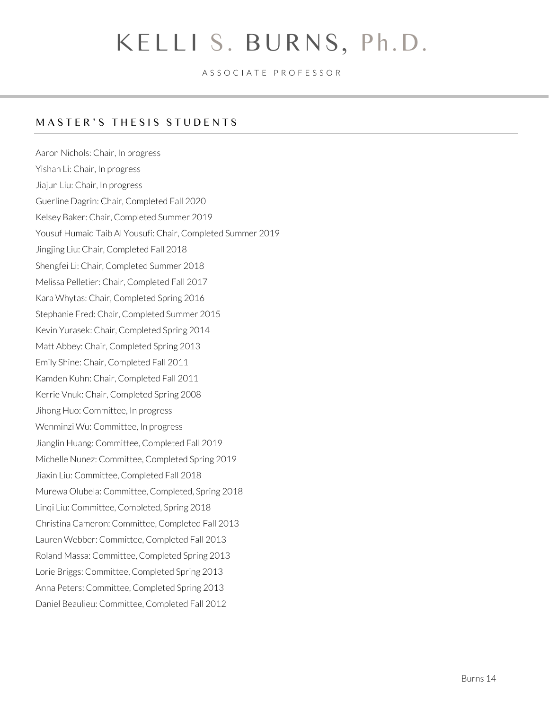A S S O C I A T E P R O F E S S O R

# MASTER'S THESIS STUDENTS

Aaron Nichols: Chair, In progress Yishan Li: Chair, In progress Jiajun Liu: Chair, In progress Guerline Dagrin: Chair, Completed Fall 2020 Kelsey Baker: Chair, Completed Summer 2019 Yousuf Humaid Taib Al Yousufi: Chair, Completed Summer 2019 Jingjing Liu: Chair, Completed Fall 2018 Shengfei Li: Chair, Completed Summer 2018 Melissa Pelletier: Chair, Completed Fall 2017 Kara Whytas: Chair, Completed Spring 2016 Stephanie Fred: Chair, Completed Summer 2015 Kevin Yurasek: Chair, Completed Spring 2014 Matt Abbey: Chair, Completed Spring 2013 Emily Shine: Chair, Completed Fall 2011 Kamden Kuhn: Chair, Completed Fall 2011 Kerrie Vnuk: Chair, Completed Spring 2008 Jihong Huo: Committee, In progress Wenminzi Wu: Committee, In progress Jianglin Huang: Committee, Completed Fall 2019 Michelle Nunez: Committee, Completed Spring 2019 Jiaxin Liu: Committee, Completed Fall 2018 Murewa Olubela: Committee, Completed, Spring 2018 Linqi Liu: Committee, Completed, Spring 2018 Christina Cameron: Committee, Completed Fall 2013 Lauren Webber: Committee, Completed Fall 2013 Roland Massa: Committee, Completed Spring 2013 Lorie Briggs: Committee, Completed Spring 2013 Anna Peters: Committee, Completed Spring 2013 Daniel Beaulieu: Committee, Completed Fall 2012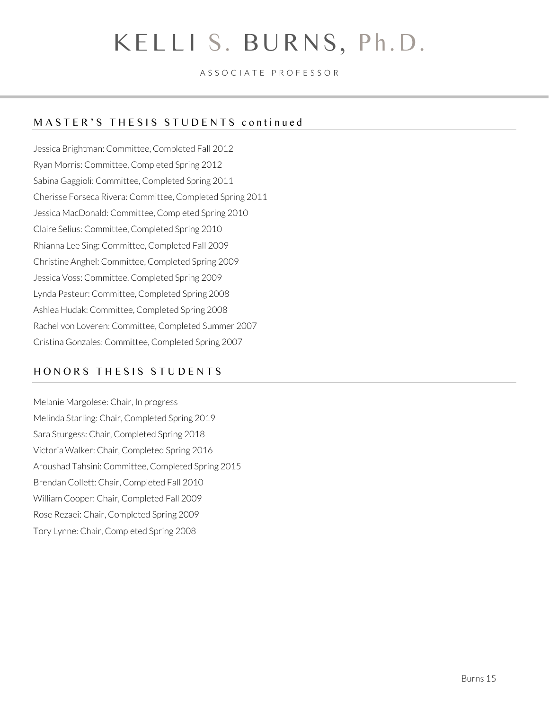A S S O C I A T E P R O F E S S O R

### MASTER'S THESIS STUDENTS continued

Jessica Brightman: Committee, Completed Fall 2012 Ryan Morris: Committee, Completed Spring 2012 Sabina Gaggioli: Committee, Completed Spring 2011 Cherisse Forseca Rivera: Committee, Completed Spring 2011 Jessica MacDonald: Committee, Completed Spring 2010 Claire Selius: Committee, Completed Spring 2010 Rhianna Lee Sing: Committee, Completed Fall 2009 Christine Anghel: Committee, Completed Spring 2009 Jessica Voss: Committee, Completed Spring 2009 Lynda Pasteur: Committee, Completed Spring 2008 Ashlea Hudak: Committee, Completed Spring 2008 Rachel von Loveren: Committee, Completed Summer 2007 Cristina Gonzales: Committee, Completed Spring 2007

### HONORS THESIS STUDENTS

Melanie Margolese: Chair, In progress Melinda Starling: Chair, Completed Spring 2019 Sara Sturgess: Chair, Completed Spring 2018 Victoria Walker: Chair, Completed Spring 2016 Aroushad Tahsini: Committee, Completed Spring 2015 Brendan Collett: Chair, Completed Fall 2010 William Cooper: Chair, Completed Fall 2009 Rose Rezaei: Chair, Completed Spring 2009 Tory Lynne: Chair, Completed Spring 2008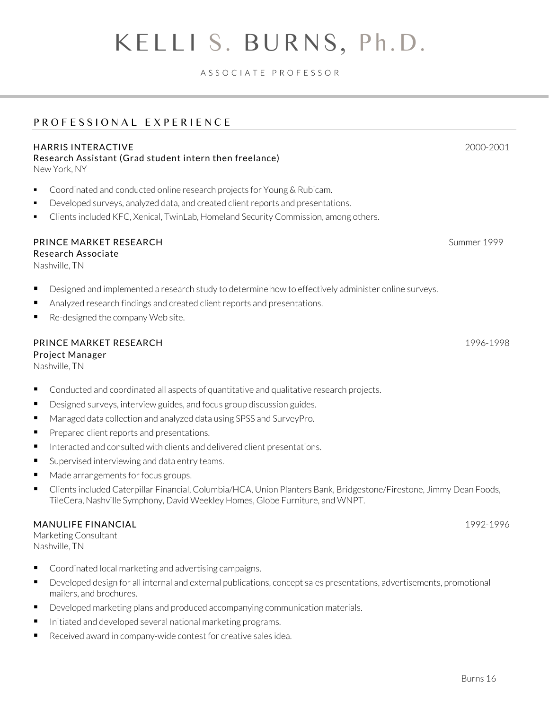#### A S S O C I A T E P R O F E S S O R

# PROFESSIONAL EXPERIENCE

#### HARRIS INTERACTIVE 2000-2001

Research Assistant (Grad student intern then freelance) New York, NY

- Coordinated and conducted online research projects for Young & Rubicam.
- **•** Developed surveys, analyzed data, and created client reports and presentations.
- Clients included KFC, Xenical, TwinLab, Homeland Security Commission, among others.

#### **PRINCE MARKET RESEARCH** Summer 1999

Research Associate

Nashville, TN

- Designed and implemented a research study to determine how to effectively administer online surveys.
- Analyzed research findings and created client reports and presentations.
- Re-designed the company Web site.

#### PRINCE MARKET RESEARCH 1996-1998 Project Manager

Nashville, TN

- Conducted and coordinated all aspects of quantitative and qualitative research projects.
- Designed surveys, interview guides, and focus group discussion guides.
- Managed data collection and analyzed data using SPSS and SurveyPro.
- Prepared client reports and presentations.
- Interacted and consulted with clients and delivered client presentations.
- Supervised interviewing and data entry teams.
- Made arrangements for focus groups.
- Clients included Caterpillar Financial, Columbia/HCA, Union Planters Bank, Bridgestone/Firestone, Jimmy Dean Foods, TileCera, Nashville Symphony, David Weekley Homes, Globe Furniture, and WNPT.

#### MANULIFE FINANCIAL 2002-1996

Marketing Consultant Nashville, TN

- Coordinated local marketing and advertising campaigns.
- Developed design for all internal and external publications, concept sales presentations, advertisements, promotional mailers, and brochures.
- Developed marketing plans and produced accompanying communication materials.
- Initiated and developed several national marketing programs.
- Received award in company-wide contest for creative sales idea.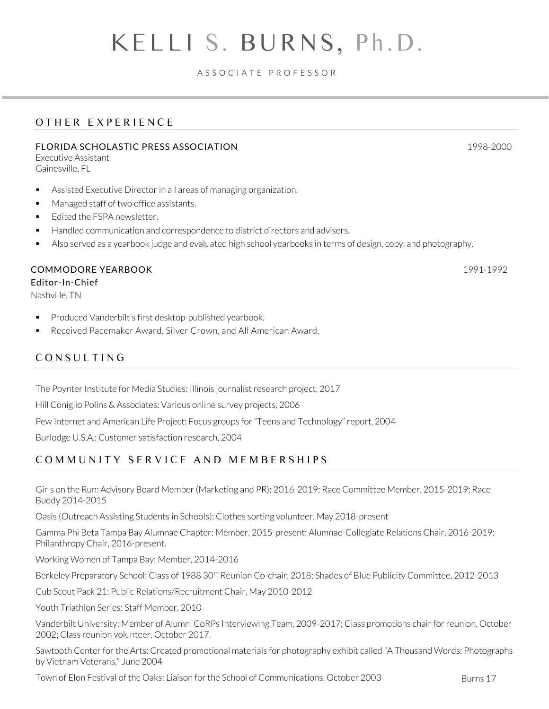#### A S S O C I A T E P R O F E S S O R

# OTHER EXPERIENCE

#### FLORIDA SCHOLASTIC PRESS ASSOCIATION 1998-2000

Executive Assistant Gainesville, FL

- Assisted Executive Director in all areas of managing organization.
- Managed staff of two office assistants.
- **■** Edited the FSPA newsletter.
- Handled communication and correspondence to district directors and advisers.
- Also served as a yearbook judge and evaluated high school yearbooks in terms of design, copy, and photography.

#### COMMODORE YEARBOOK 1991-1992

Editor-In-Chief

Nashville, TN

- Produced Vanderbilt's first desktop-published yearbook.
- Received Pacemaker Award, Silver Crown, and All American Award.

#### CONSULTING

The Poynter Institute for Media Studies: Illinois journalist research project, 2017

Hill Coniglio Polins & Associates: Various online survey projects, 2006

Pew Internet and American Life Project: Focus groups for "Teens and Technology" report, 2004

Burlodge U.S.A.: Customer satisfaction research, 2004

#### COMMUNITY SERVICE AND MEMBERSHIPS

Girls on the Run: Advisory Board Member (Marketing and PR): 2016-2019; Race Committee Member, 2015-2019; Race Buddy 2014-2015

Oasis (Outreach Assisting Students in Schools): Clothes sorting volunteer, May 2018-present

Gamma Phi Beta Tampa Bay Alumnae Chapter: Member, 2015-present; Alumnae-Collegiate Relations Chair, 2016-2019; Philanthropy Chair, 2016-present.

Working Women of Tampa Bay: Member, 2014-2016

Berkeley Preparatory School: Class of 1988 30<sup>th</sup> Reunion Co-chair, 2018; Shades of Blue Publicity Committee, 2012-2013

Cub Scout Pack 21: Public Relations/Recruitment Chair, May 2010-2012

Youth Triathlon Series: Staff Member, 2010

Vanderbilt University: Member of Alumni CoRPs Interviewing Team, 2009-2017; Class promotions chair for reunion, October 2002; Class reunion volunteer, October 2017.

Sawtooth Center for the Arts: Created promotional materials for photography exhibit called "A Thousand Words: Photographs by Vietnam Veterans," June 2004

Town of Elon Festival of the Oaks: Liaison for the School of Communications, October 2003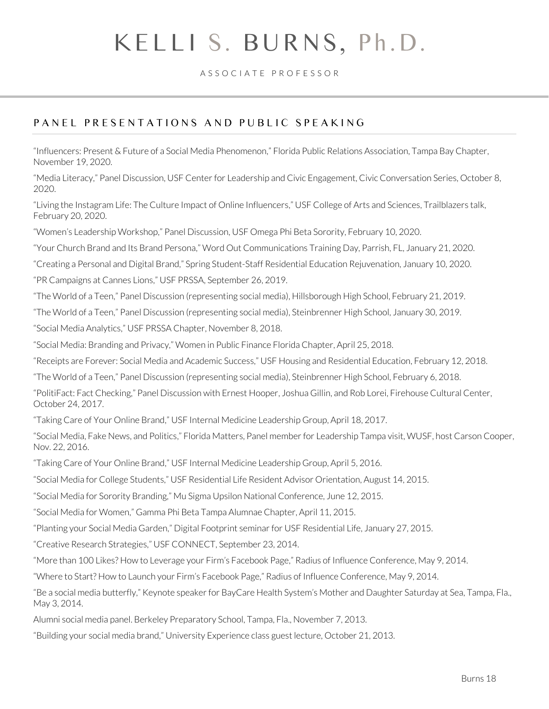#### A S S O C I A T E P R O F E S S O R

# PANEL PRESENTATIONS AND PUBLIC SPEAKING

"Influencers: Present & Future of a Social Media Phenomenon," Florida Public Relations Association, Tampa Bay Chapter, November 19, 2020.

"Media Literacy," Panel Discussion, USF Center for Leadership and Civic Engagement, Civic Conversation Series, October 8, 2020.

"Living the Instagram Life: The Culture Impact of Online Influencers," USF College of Arts and Sciences, Trailblazers talk, February 20, 2020.

"Women's Leadership Workshop," Panel Discussion, USF Omega Phi Beta Sorority, February 10, 2020.

"Your Church Brand and Its Brand Persona," Word Out Communications Training Day, Parrish, FL, January 21, 2020.

"Creating a Personal and Digital Brand," Spring Student-Staff Residential Education Rejuvenation, January 10, 2020.

"PR Campaigns at Cannes Lions," USF PRSSA, September 26, 2019.

"The World of a Teen," Panel Discussion (representing social media), Hillsborough High School, February 21, 2019.

"The World of a Teen," Panel Discussion (representing social media), Steinbrenner High School, January 30, 2019.

"Social Media Analytics," USF PRSSA Chapter, November 8, 2018.

"Social Media: Branding and Privacy," Women in Public Finance Florida Chapter, April 25, 2018.

"Receipts are Forever: Social Media and Academic Success," USF Housing and Residential Education, February 12, 2018.

"The World of a Teen," Panel Discussion (representing social media), Steinbrenner High School, February 6, 2018.

["PolitiFact: Fact Checking," Panel Discussion](http://firehouseculturalcenter.org/events/politifact-fact-checking-panel-discussion/) with Ernest Hooper, Joshua Gillin, and Rob Lorei, Firehouse Cultural Center, October 24, 2017.

"Taking Care of Your Online Brand," USF Internal Medicine Leadership Group, April 18, 2017.

"[Social Media, Fake News, and Politics](http://wusfnews.wusf.usf.edu/post/florida-matters-social-media-fake-news-and-politics)," Florida Matters, Panel member for Leadership Tampa visit, WUSF, host Carson Cooper, Nov. 22, 2016.

"Taking Care of Your Online Brand," USF Internal Medicine Leadership Group, April 5, 2016.

"Social Media for College Students," USF Residential Life Resident Advisor Orientation, August 14, 2015.

"Social Media for Sorority Branding," Mu Sigma Upsilon National Conference, June 12, 2015.

"Social Media for Women," Gamma Phi Beta Tampa Alumnae Chapter, April 11, 2015.

"Planting your Social Media Garden," Digital Footprint seminar for USF Residential Life, January 27, 2015.

"Creative Research Strategies," USF CONNECT, September 23, 2014.

"More than 100 Likes? How to Leverage your Firm's Facebook Page," Radius of Influence Conference, May 9, 2014.

"Where to Start? How to Launch your Firm's Facebook Page," Radius of Influence Conference, May 9, 2014.

"Be a social media butterfly," Keynote speaker for BayCare Health System's Mother and Daughter Saturday at Sea, Tampa, Fla., May 3, 2014.

Alumni social media panel. Berkeley Preparatory School, Tampa, Fla., November 7, 2013.

"Building your social media brand," University Experience class guest lecture, October 21, 2013.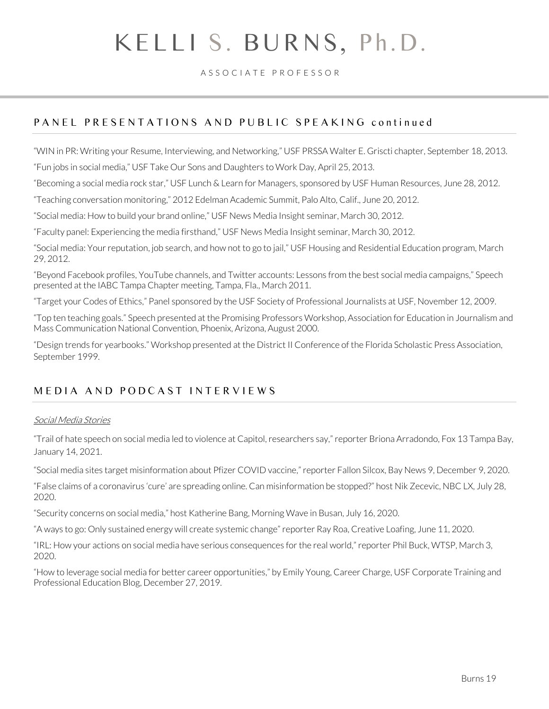A S S O C I A T E P R O F E S S O R

### PANEL PRESENTATIONS AND PUBLIC SPEAKING continued

"WIN in PR: Writing your Resume, Interviewing, and Networking," USF PRSSA Walter E. Griscti chapter, September 18, 2013.

"Fun jobs in social media," USF Take Our Sons and Daughters to Work Day, April 25, 2013.

"Becoming a social media rock star," USF Lunch & Learn for Managers, sponsored by USF Human Resources, June 28, 2012.

"Teaching conversation monitoring," 2012 Edelman Academic Summit, Palo Alto, Calif., June 20, 2012.

"Social media: How to build your brand online," USF News Media Insight seminar, March 30, 2012.

"Faculty panel: Experiencing the media firsthand," USF News Media Insight seminar, March 30, 2012.

"Social media: Your reputation, job search, and how not to go to jail," USF Housing and Residential Education program, March 29, 2012.

"Beyond Facebook profiles, YouTube channels, and Twitter accounts: Lessons from the best social media campaigns," Speech presented at the IABC Tampa Chapter meeting, Tampa, Fla., March 2011.

"Target your Codes of Ethics," Panel sponsored by the USF Society of Professional Journalists at USF, November 12, 2009.

"Top ten teaching goals." Speech presented at the Promising Professors Workshop, Association for Education in Journalism and Mass Communication National Convention, Phoenix, Arizona, August 2000.

"Design trends for yearbooks." Workshop presented at the District II Conference of the Florida Scholastic Press Association, September 1999.

### MEDIA AND PODCAST INTERVIEWS

#### Social Media Stories

"Trail of hate speech on social media led to violence at Capitol, researchers say," reporter Briona Arradondo, Fox 13 Tampa Bay, January 14, 2021.

"Social media sites target misinformation about Pfizer COVID vaccine,"reporter Fallon Silcox, Bay News 9, December 9, 2020.

"False claims of a coronavirus 'cure' are spreading online. Can misinformation be stopped?" host Nik Zecevic, NBC LX, July 28, 2020.

"Security concerns on social media," host Katherine Bang, Morning Wave in Busan, July 16, 2020.

"A ways to go: Only sustained energy will create systemic change" reporter Ray Roa, Creative Loafing, June 11, 2020.

"IRL: How your actions on social media have serious consequences for the real world," reporter Phil Buck, WTSP, March 3, 2020.

"How to leverage social media for better career opportunities," by Emily Young, Career Charge, USF Corporate Training and Professional Education Blog, December 27, 2019.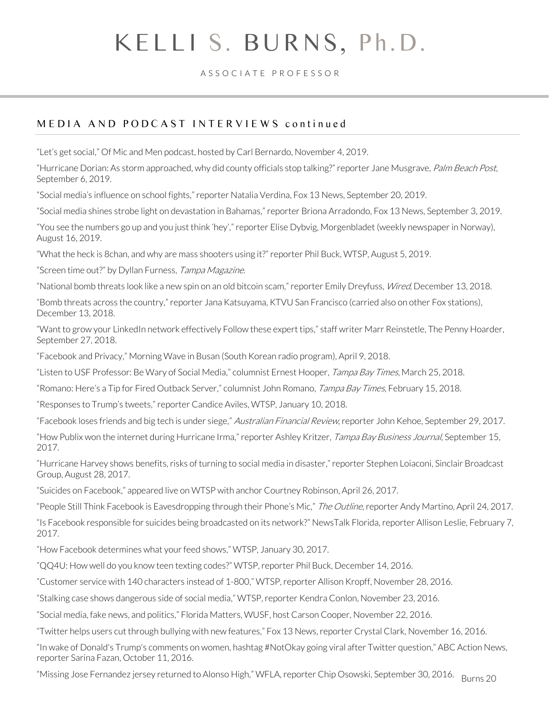#### A S S O C I A T E P R O F E S S O R

# M E D I A A N D P O D C A S T I N T F R V I F W S continued

"Let's get social," Of Mic and Men podcast, hosted by Carl Bernardo, November 4, 2019.

"Hurricane Dorian: As storm approached, why did county officials stop talking?" reporter Jane Musgrave, Palm Beach Post, September 6, 2019.

"Social media's influence on school fights," reporter Natalia Verdina, Fox 13 News, September 20, 2019.

"Social media shines strobe light on devastation in Bahamas," reporter Briona Arradondo, Fox 13 News, September 3, 2019.

"You see the numbers go up and you just think 'hey'," reporter Elise Dybvig, Morgenbladet (weekly newspaper in Norway), August 16, 2019.

"[What the heck is 8chan, and why are mass shooters using it](https://www.wtsp.com/article/news/what-the-heck-is-8chan-and-why-are-mass-shooters-using-it/67-4cf43f4a-0294-44fb-9b97-4060beaaec5a)?" reporter Phil Buck, WTSP, August 5, 2019.

"[Screen time out](https://tampamagazines.com/screen-time-out/)?" by Dyllan Furness, Tampa Magazine.

"National bomb threats look like a new spin on an old bitcoin scam," reporter Emily Dreyfuss, Wired, December 13, 2018.

"Bomb threats across the country," reporter Jana Katsuyama, KTVU San Francisco (carried also on other Fox stations), December 13, 2018.

"Want to grow your LinkedIn network effectively Follow these expert tips," staff writer Marr Reinstetle, The Penny Hoarder, September 27, 2018.

"[Facebook and Privacy](http://www.befm.or.kr/radio/ProgramAction.do?cmd=PlayListMgr&prgmId=morning_sp&bbsId=&tab=PRGM_SCRIPT&nowPage=2)," Morning Wave in Busan (South Korean radio program), April 9, 2018.

"[Listen to USF Professor: Be Wary of Social Media](https://www.pressreader.com/usa/tampa-bay-times/20180326/281736974999044)," columnist Ernest Hooper, Tampa Bay Times, March 25, 2018.

["Romano: Here's a Tip for Fired Outback Server,](http://www.tampabay.com/news/Romano-Here-s-a-tip-for-fired-Outback-server-_165483496)" columnist John Romano, Tampa Bay Times, February 15, 2018.

"Responses to Trump's tweets," reporter Candice Aviles, WTSP, January 10, 2018.

"[Facebook loses friends and big tech is under siege](http://www.afr.com/technology/facebook-loses-friends-and-big-tech-is-under-siege-20170927-gyplba)," Australian Financial Review, reporter John Kehoe, September 29, 2017.

"How Publix won the internet during Hurricane Irma," reporter Ashley Kritzer, Tampa Bay Business Journal, September 15, 2017.

"Hurricane Harvey shows benefits, risks of turning to social media in disaster," reporter Stephen Loiaconi, Sinclair Broadcast Group, August 28, 2017.

"Suicides on Facebook," appeared live on WTSP with anchor Courtney Robinson, April 26, 2017.

["People Still Think Facebook is Eavesdropping through their Phone's Mic,"](https://theoutline.com/post/1426/people-still-think-facebook-is-eavesdropping-through-their-phone-s-mic?utm_source=TW) The Outline, reporter Andy Martino, April 24, 2017.

"[Is Facebook responsible for suicides being broadcasted on its network](https://www.newstalkflorida.com/news/miami/more-and-more-suicides-being-broadcast-on-facebook-live/)?" NewsTalk Florida, reporter Allison Leslie, February 7, 2017.

"[How Facebook determines what your feed shows](http://mms.tveyes.com/transcript.asp?StationID=1985&DateTime=1%2f30%2f2017+6%3a06%3a55+PM&PlayClip=true)," WTSP, January 30, 2017.

"[QQ4U: How well do you know teen texting codes?](http://www.wtsp.com/tech/qq4u-how-well-do-you-know-teen-texting-codes/370144678)" WTSP, reporter Phil Buck, December 14, 2016.

"[Customer service with 140 characters instead of 1-800](http://www.wtsp.com/news/local/customer-service-with-140-characters-instead-of-1-800/355640821)," WTSP, reporter Allison Kropff, November 28, 2016.

"[Stalking case shows dangerous side of social media](http://www.wtsp.com/news/crime/teacher-sentenced-for-stalking-student-on-snapchat/355184632)," WTSP, reporter Kendra Conlon, November 23, 2016.

"[Social media, fake news, and politics](http://wusfnews.wusf.usf.edu/post/florida-matters-social-media-fake-news-and-politics)," Florida Matters, WUSF, host Carson Cooper, November 22, 2016.

"T[witter helps users cut through bullying with new features](http://www.fox13news.com/news/local-news/218046164-story)," Fox 13 News, reporter Crystal Clark, November 16, 2016.

"[In wake of Donald's Trump's comments on women, hashtag #NotOkay going viral after Twitter question](http://www.abcactionnews.com/news/local-news/in-wake-of-donalds-trumps-comments-on-women-hashtag-notokay-going-viral-after-twiiter-question)," ABC Action News, reporter Sarina Fazan, October 11, 2016.

"[Missing Jose Fernandez jersey returned to Alonso High](http://wfla.com/2016/09/30/missing-jose-fernandez-jersey-returned-alonso-high/)," WFLA, reporter Chip Osowski, September 30, 2016. Burns 20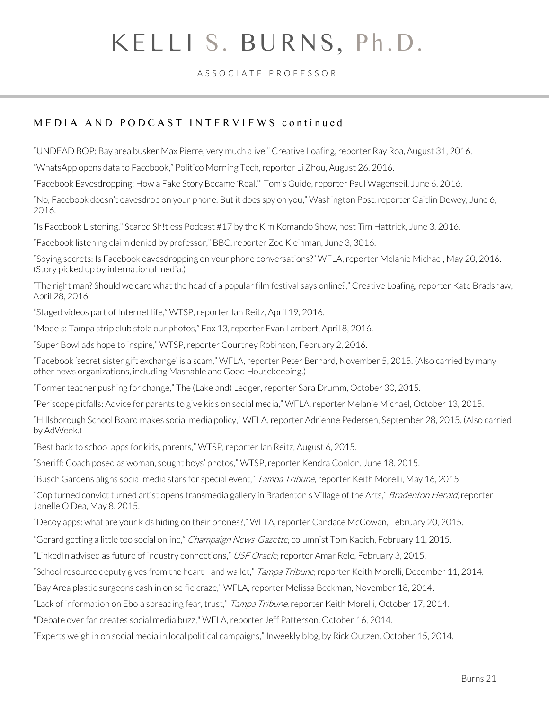#### A S S O C I A T E P R O F E S S O R

### MEDIA AND PODCAST INTERVIEWS continued

"[UNDEAD BOP: Bay area busker Max Pierre, very much alive](http://www.cltampa.com/music/local/article/20832347/tampa-bay-busker-max-pierre-is-very-much-alive-so-what-in-deaths-name-happened)," Creative Loafing, reporter Ray Roa, August 31, 2016.

"[WhatsApp opens data to Facebook](http://www.politico.com/tipsheets/morning-tech/2016/08/rosenworcel-caught-in-the-middle-of-fcc-debates-216091)," Politico Morning Tech, reporter Li Zhou, August 26, 2016.

["Facebook Eavesdropping: How a Fake Story Became 'Real.'"](http://www.tomsguide.com/us/facebook-eavesdropping-mess,news-22773.html) Tom's Guide, reporter Paul Wagenseil, June 6, 2016.

["No, Facebook doesn't eavesdrop on your phone. But it does spy on you,"](https://www.washingtonpost.com/news/the-intersect/wp/2016/06/06/no-facebook-doesnt-eavesdrop-on-your-phone-but-it-does-spy-on-you/) Washington Post, reporter Caitlin Dewey, June 6, 2016.

"[Is Facebook Listening](https://itunes.apple.com/us/podcast/scared-sh%21tless/id1101462756?mt=2)," Scared Sh!tless Podcast #17 by the Kim Komando Show, host Tim Hattrick, June 3, 2016.

"[Facebook listening claim denied by professor](http://www.bbc.com/news/technology-36443926)," BBC, reporter Zoe Kleinman, June 3, 3016.

"[Spying secrets: Is Facebook eavesdropping on your phone conversations?](http://wfla.com/2016/05/20/talker-is-facebook-listening-to-your-conversations/)" WFLA, reporter Melanie Michael, May 20, 2016. (Story picked up by international media.)

"The right man? Should we care what the head of a popular film festival says online?," Creative Loafing, reporter Kate Bradshaw, April 28, 2016.

"Staged videos part of Internet life," WTSP, reporter Ian Reitz, April 19, 2016.

"Models: Tampa strip club stole our photos," Fox 13, reporter Evan Lambert, April 8, 2016.

"Super Bowl ads hope to inspire," WTSP, reporter Courtney Robinson, February 2, 2016.

["Facebook 'secret sister gift exchange' is a scam,](http://wfla.com/2015/11/05/facebook-secret-sister-gift-exchange-is-a-scam/)" WFLA, reporter Peter Bernard, November 5, 2015. (Also carried by many other news organizations, including Mashable and Good Housekeeping.)

"[Former teacher pushing for change](http://www.newschief.com/article/20151030/NEWS/151039909/1523?Title=Former-teacher-pushing-for-change)," The (Lakeland) Ledger, reporter Sara Drumm, October 30, 2015.

"[Periscope pitfalls: Advice for parents to give kids on social media](http://wfla.com/2015/10/13/advice-for-parents-to-give-kids-on-periscope-social-media-pitfalls/)," WFLA, reporter Melanie Michael, October 13, 2015.

"[Hillsborough School Board makes social media policy](http://wfla.com/2015/09/28/hillsborough-school-board-makes-social-media-policy/)," WFLA, reporter Adrienne Pedersen, September 28, 2015. (Also carried b[y AdWeek.\)](http://www.adweek.com/blognetwork/hillsborough-school-board-makes-social-media-policy/11264)

"[Best back to school apps for kids, parents](http://www.wtsp.com/story/news/local/2015/08/06/best-back--school-apps--students-and-parents/31207925/)," WTSP, reporter Ian Reitz, August 6, 2015.

"Sheriff: Coach posed as woman, sought boys' photos," WTSP, reporter Kendra Conlon, June 18, 2015.

"Busch Gardens aligns social media stars for special event," Tampa Tribune, reporter Keith Morelli, May 16, 2015.

["Cop turned convict turned artist opens transmedia gallery in Bradenton's Village of the Arts,"](http://www.bradenton.com/2015/05/08/5787632/former-hillsborough-county-detective.html) Bradenton Herald, reporter Janelle O'Dea, May 8, 2015.

"Decoy apps: what are your kids hiding on their phones?," WFLA, reporter Candace McCowan, February 20, 2015.

"[Gerard getting a little too social online](http://www.news-gazette.com/news/local/2015-02-11/tom-kacich-gerard-getting-little-too-social-online.html)," *Champaign News-Gazette*, columnist Tom Kacich, February 11, 2015.

"[LinkedIn advised as future of industry connections](http://www.usforacle.com/news/view.php/859429/LinkedIn-advised-as-future-of-industry-c)," USF Oracle, reporter Amar Rele, February 3, 2015.

"[School resource deputy gives from the heart](http://tbo.com/news/education/school-resource-deputy-gives-from-the-heart-x2014-and-wallet-20141211/)—and wallet," Tampa Tribune, reporter Keith Morelli, December 11, 2014.

"[Bay Area plastic surgeons cash in on selfie craze](http://www.wfla.com/story/27416410/bay-area-plastic-surgeons-cash-in-on-selfie-craze)," WFLA, reporter Melissa Beckman, November 18, 2014.

"[Lack of information on Ebola spreading fear, trust](http://tbo.com/apps/pbcs.dll/article?AID=/20141017/ARTICLE/141019139&template=printart)," Tampa Tribune, reporter Keith Morelli, October 17, 2014.

["Debate over fan creates social media buzz,](http://www.wfla.com/story/26806649/debate-over-fan-creates-social-media-buzz)" WFLA, reporter Jeff Patterson, October 16, 2014.

"[Experts weigh in on social media in local political campaigns](http://ricksblog.biz/experts-weigh-on-social-media-in-local-political-campaigns/)," Inweekly blog, by Rick Outzen, October 15, 2014.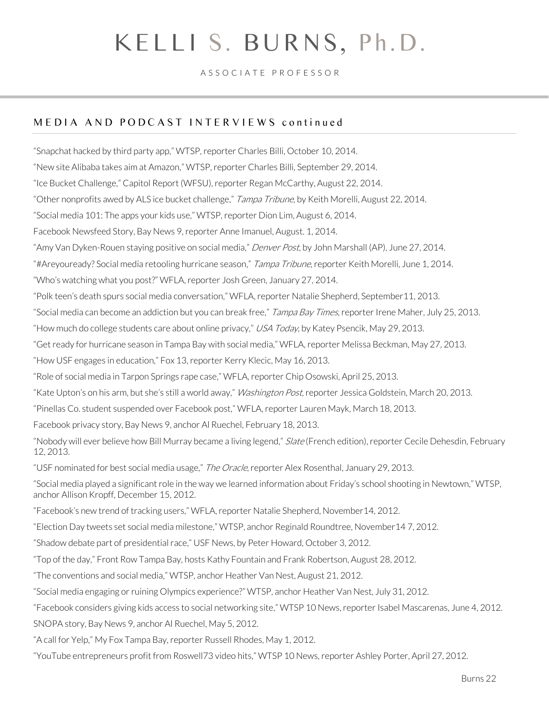#### A S S O C I A T E P R O F E S S O R

#### MEDIA AND PODCAST INTERVIEWS continued

"[Snapchat hacked by third party app](http://www.wtsp.com/story/news/local/2014/10/10/snap-chat-hacked-through-third-party-app/17075745/)," WTSP, reporter Charles Billi, October 10, 2014. "New site Alibaba takes aim at Amazon," WTSP, reporter Charles Billi, September 29, 2014. ["Ice Bucket Challenge,"](http://news.wfsu.org/post/capital-report-08-22-2014) Capitol Report (WFSU), reporter Regan McCarthy, August 22, 2014. ["Other nonprofits awed by ALS ice bucket challenge,"](http://tbo.com/news/breaking-news/als-ice-bucket-challenge-raising-cash-other-nonprofits-awed-20140822/) Tampa Tribune, by Keith Morelli, August 22, 2014. ["Social media 101: The apps your kids use,"](http://www.wtsp.com/story/news/local/2014/08/06/social-media-101-hot-apps/13650553/) WTSP, reporter Dion Lim, August 6, 2014. Facebook Newsfeed Story, Bay News 9, reporter Anne Imanuel, August. 1, 2014. "Amy Van Dyken[-Rouen staying positive on social media,](http://www.denverpost.com/olympics/ci_26044945/van-dyken-staying-positive-social-media)" Denver Post, by John Marshall (AP), June 27, 2014. "#Areyouready? Social media retooling hurricane season," Tampa Tribune, reporter Keith Morelli, June 1, 2014. "Who's watching what you post?" WFLA, reporter Josh Green, January 27, 2014. "Polk teen's death spurs social media conversation," WFLA, reporter Natalie Shepherd, September11, 2013. "Social media can become an addiction but you can break free," Tampa Bay Times, reporter Irene Maher, July 25, 2013. "How much do college students care about online privacy," USA Today, by Katey Psencik, May 29, 2013. "Get ready for hurricane season in Tampa Bay with social media," WFLA, reporter Melissa Beckman, May 27, 2013. "How USF engages in education," Fox 13, reporter Kerry Klecic, May 16, 2013. "Role of social media in Tarpon Springs rape case," WFLA, reporter Chip Osowski, April 25, 2013. "Kate Upton's on his arm, but she's still a world away," *Washington Post*, reporter Jessica Goldstein, March 20, 2013. "Pinellas Co. student suspended over Facebook post," WFLA, reporter Lauren Mayk, March 18, 2013. Facebook privacy story, Bay News 9, anchor Al Ruechel, February 18, 2013. "Nobody will ever believe how Bill Murray became a living legend," Slate (French edition), reporter Cecile Dehesdin, February 12, 2013. "USF nominated for best social media usage," The Oracle, reporter Alex Rosenthal, January 29, 2013. ["Social media played a significant role in the way we learned information about Friday's school shooting in Newtown,"](http://www.wtsp.com/news/local/story.aspx?storyid=287237) WTSP, anchor Allison Kropff, December 15, 2012. ["Facebook's new trend of tracking users,"](http://www.wfla.com/video?clipId=8188000&autostart=true) WFLA, reporter Natalie Shepherd, November14, 2012. ["Election Day tweets set social media milestone,"](http://www.wtsp.com/news/local/story.aspx?storyid=281540) WTSP, anchor Reginald Roundtree, November14 7, 2012. ["Shadow debate part of presidential race,"](http://news.usf.edu/article/templates/?a=4827&z=155) USF News, by Peter Howard, October 3, 2012. ["Top of the day,"](http://www.youtube.com/watch?v=k-eM8arI7iE) Front Row Tampa Bay, hosts Kathy Fountain and Frank Robertson, August 28, 2012. "The conventions and social media," WTSP, anchor Heather Van Nest, August 21, 2012. ["Social media engaging or ruining Olympics experience?"](http://saintpetersburg.wtsp.com/news/news/133932-social-media-engaging-or-ruining-olympics-experience) WTSP, anchor Heather Van Nest, July 31, 2012. ["Facebook considers giving kids access to social networking site,"](http://www.wtsp.com/news/local/story.aspx?storyid=257907) WTSP 10 News, reporter Isabel Mascarenas, June 4, 2012. SNOPA story, Bay News 9, anchor Al Ruechel, May 5, 2012. ["A call for Yelp,"](http://www.myfoxtampabay.com/dpp/news/scitech/a-call-for-yelp-050112) My Fox Tampa Bay, reporter Russell Rhodes, May 1, 2012.

["YouTube entrepreneurs profit from Roswell73 video hits,"](http://www.wtsp.com/news/local/story.aspx?storyid=252878) WTSP 10 News, reporter Ashley Porter, April 27, 2012.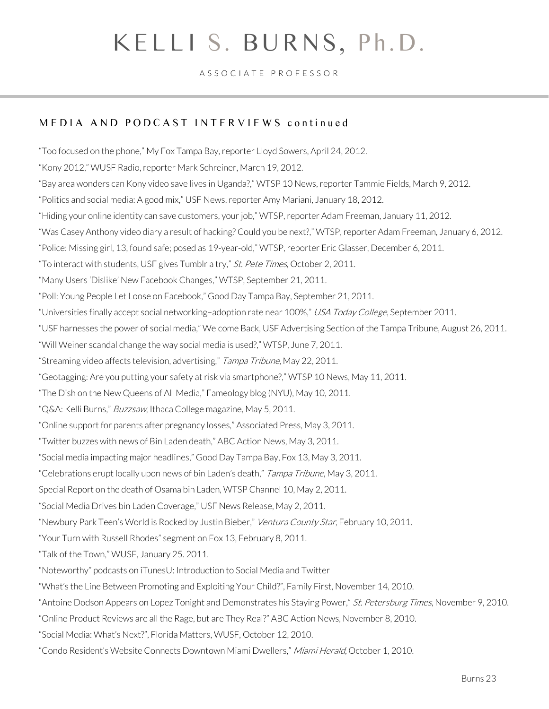#### A S S O C I A T E P R O F E S S O R

### MEDIA AND PODCAST INTERVIEWS continued

["Too focused on the phone,"](http://www.myfoxtampabay.com/dpp/news/scitech/too-focused-on-the-phone-04242012) My Fox Tampa Bay, reporter Lloyd Sowers, April 24, 2012. "[Kony 2012](http://www.wusf.usf.edu/radio/program/university_beat/episode/2012-03/kony_2012_0)," WUSF Radio, reporter Mark Schreiner, March 19, 2012. "[Bay area wonders can Kony video save lives in Uganda?](http://www.wtsp.com/news/article/243636/250/Bay-area-wonders-can-Kony-video-save-lives-in-Uganda)," WTSP 10 News, reporter Tammie Fields, March 9, 2012. "[Politics and social media: A good mix](http://news.usf.edu/article/templates/?a=4058&z=123)," USF News, reporter Amy Mariani, January 18, 2012. "[Hiding your online identity can save customers, your job](http://www.wtsp.com/news/article/231489/8/Hiding-your-online-identity-can-save-customers-your-job)," WTSP, reporter Adam Freeman, January 11, 2012. "[Was Casey Anthony video diary a result of hacking? Could you be next?](http://www.wtsp.com/news/local/story.aspx?storyid=230456)," WTSP, reporter Adam Freeman, January 6, 2012. "[Police: Missing girl, 13, found safe; posed as 19-year-old](http://winterhaven.wtsp.com/news/news/94284-police-missing-girl-13-found-safe-posed-19-year-old)," WTSP, reporter Eric Glasser, December 6, 2011. "[To interact with students, USF gives Tumblr a try](http://www.tampabay.com/news/science/to-interact-with-students-usf-gives-tumblr-a-try/1194108)," St. Pete Times, October 2, 2011. ["Many Users 'Dislike' New Facebook Changes,](http://www.wtsp.com/news/local/story.aspx?storyid=211694)" WTSP, September 21, 2011. "[Poll: Young People Let Loose on Facebook](http://www.myfoxtampabay.com/dpp/good_day/poll%3A-young-people-let-loose-on-facebook-092111)," Good Day Tampa Bay, September 21, 2011. "[Universities finally accept social networking](http://www.usatodayeducate.com/staging/index.php/campuslife/universities-finally-accept-social-networking)-adoption rate near 100%," USA Today College, September 2011. "USF harnesses the power of social media," Welcome Back, USF Advertising Section of the Tampa Tribune, August 26, 2011. "[Will Weiner scandal change the way](http://www.wtsp.com/news/topstories/article/195914/250/Will-Weiner-scandal-change-the-way-social-media-is-used) social media is used?," WTSP, June 7, 2011. "[Streaming video affects television, advertising](http://www2.tbo.com/news/news/2011/may/22/streaming-video-affects-television-advertising-ar-208862/)," Tampa Tribune, May 22, 2011. "[Geotagging: Are you putting your safety at risk via smartphone?](http://www.wtsp.com/news/local/story.aspx?storyid=191668)," WTSP 10 News, May 11, 2011. "[The Dish on the New Queens of All Media](http://fameology.net/2011/05/10/the-dish-on-the-new-queens-of-all-media/)," Fameology blog (NYU), May 10, 2011. "[Q&A: Kelli Burns](http://www.buzzsawmag.org/2011/05/05/qa-kelli-burns/)," Buzzsaw, Ithaca College magazine, May 5, 2011. "[Online support for parents after pregnancy losses](http://www.boston.com/news/nation/articles/2011/05/03/online_support_for_parents_after_pregnancy_losses/)," Associated Press, May 3, 2011. "[Twitter buzzes with news of Bin Laden death](http://www.abcactionnews.com/dpp/news/twitter-buzzes-with-news-of-bin-laden-death-)," ABC Action News, May 3, 2011. "[Social media impacting major headlines](http://www.myfoxtampabay.com/dpp/good_day/social-media-impacting-major-headlines-050311)," Good Day Tampa Bay, Fox 13, May 3, 2011. ["Celebrations erupt locally upon news of bin Laden's death,"](http://www2.tbo.com/news/news/2011/may/03/3/menewso1-words-cant-express-how-happy-we-are-ar-204377/) Tampa Tribune, May 3, 2011. [Special Report on the death of Osama bin Laden,](http://www.wtsp.com/video/default.aspx#/News/Interview%3A%20Kelly%20Burns/53132882001/53147622001/928552246001) WTSP Channel 10, May 2, 2011. "[Social Media Drives bin Laden Coverage](http://news.usf.edu/article/templates/?a=3379&z=158)," USF News Release, May 2, 2011. ["Newbury Park Teen's World is Rocked by Justin Bieber,](http://www.vcstar.com/news/2011/feb/10/newbury-park-teens-world-is-rocked-by-justin/)" Ventura County Star, February 10, 2011. "Your Turn with Russell Rhodes" segment on Fox 13, February 8, 2011. "[Talk of the Town](http://masscomm.wusf.usf.edu/production/talk_of_the_town)," WUSF, January 25. 2011. "Noteworthy" podcasts on iTunesU: Introduction to Social Media and Twitter ["What's the Line Between Promoting and Exploiting Your Child?"](http://familyfirst.com/what%e2%80%99s-the-line-between-promoting-and-exploiting-your-child.html), Family First, November 14, 2010. "[Antoine Dodson Appears on Lopez Tonight and Demonstrates his Staying Power](http://www.tampabay.com/features/popculture/antoine-dodson-appears-on-lopez-tonight-and-demonstrates-his-staying-power/1133139)," St. Petersburg Times, November 9, 2010. "[Online Product Reviews are all the Rage, but are They Real?](http://www.abcactionnews.com/dpp/money/consumer/taking_action_for_you/Online-product-reviews-are-all-the-rage%2C-but-are-they-real%3F)" ABC Action News, November 8, 2010. ["Social Media: What's Next?"](http://www.wusf.usf.edu/news/program/florida_matters), Florida Matters, WUSF, October 12, 2010. ["Condo Resident's Website Connects Downtown Miami Dwellers,"](http://www.miamiherald.com/2010/10/01/1851693/condo-residents-website-connects.html) Miami Herald, October 1, 2010.